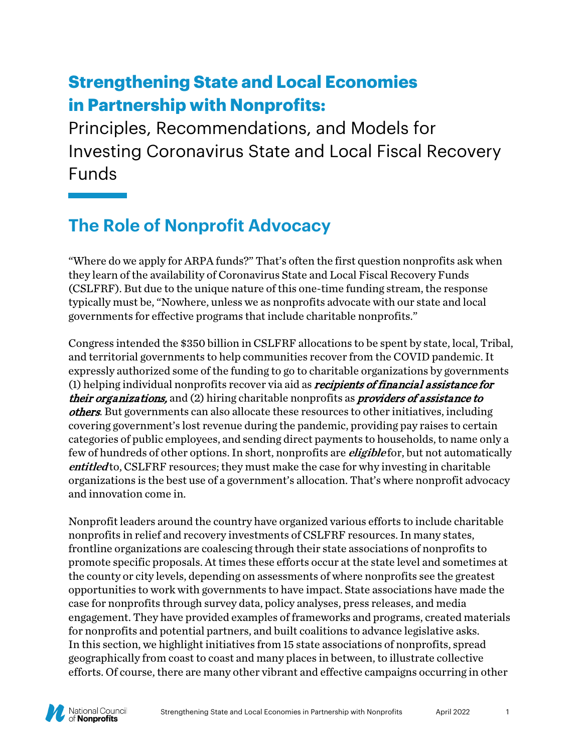# **Strengthening State and Local Economies in Partnership with Nonprofits:**

Principles, Recommendations, and Models for Investing Coronavirus State and Local Fiscal Recovery Funds

# **The Role of Nonprofit Advocacy**

"Where do we apply for ARPA funds?" That's often the first question nonprofits ask when they learn of the availability of Coronavirus State and Local Fiscal Recovery Funds (CSLFRF). But due to the unique nature of this one-time funding stream, the response typically must be, "Nowhere, unless we as nonprofits advocate with our state and local governments for effective programs that include charitable nonprofits."

Congress intended the \$350 billion in CSLFRF allocations to be spent by state, local, Tribal, and territorial governments to help communities recover from the COVID pandemic. It expressly authorized some of the funding to go to charitable organizations by governments (1) helping individual nonprofits recover via aid as *recipients of financial assistance for* their organizations, and (2) hiring charitable nonprofits as *providers of assistance to* others. But governments can also allocate these resources to other initiatives, including covering government's lost revenue during the pandemic, providing pay raises to certain categories of public employees, and sending direct payments to households, to name only a few of hundreds of other options. In short, nonprofits are *eligible* for, but not automatically entitled to, CSLFRF resources; they must make the case for why investing in charitable organizations is the best use of a government's allocation. That's where nonprofit advocacy and innovation come in.

Nonprofit leaders around the country have organized various efforts to include charitable nonprofits in relief and recovery investments of CSLFRF resources. In many states, frontline organizations are coalescing through their state associations of nonprofits to promote specific proposals. At times these efforts occur at the state level and sometimes at the county or city levels, depending on assessments of where nonprofits see the greatest opportunities to work with governments to have impact. State associations have made the case for nonprofits through survey data, policy analyses, press releases, and media engagement. They have provided examples of frameworks and programs, created materials for nonprofits and potential partners, and built coalitions to advance legislative asks. In this section, we highlight initiatives from 15 state associations of nonprofits, spread geographically from coast to coast and many places in between, to illustrate collective efforts. Of course, there are many other vibrant and effective campaigns occurring in other

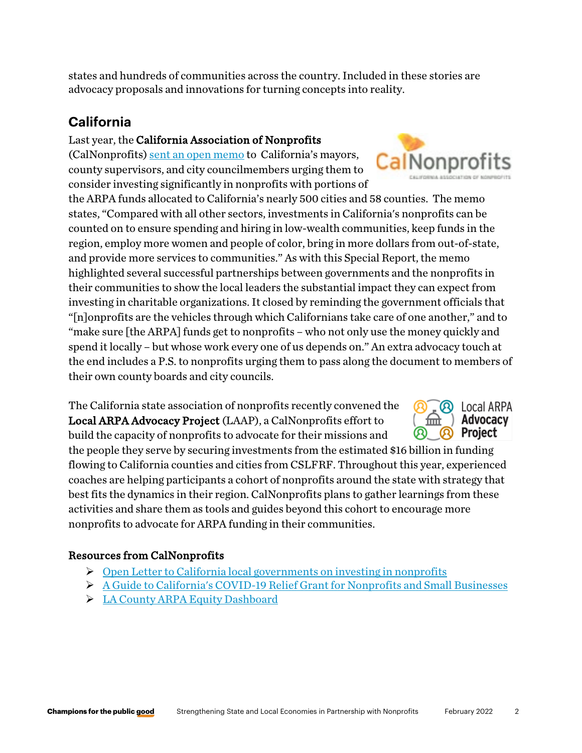states and hundreds of communities across the country. Included in these stories are advocacy proposals and innovations for turning concepts into reality.

# **California**

#### Last year, the California Association of Nonprofits

(CalNonprofits) [sent an open memo](https://calnp.memberclicks.net/assets/docs/3-24-21%20Open%20Letter%20re%20Federal%20Funding.pdf) to California's mayors, county supervisors, and city councilmembers urging them to consider investing significantly in nonprofits with portions of

the ARPA funds allocated to California's nearly 500 cities and 58 counties. The memo states, "Compared with all other sectors, investments in California's nonprofits can be counted on to ensure spending and hiring in low-wealth communities, keep funds in the region, employ more women and people of color, bring in more dollars from out-of-state, and provide more services to communities." As with this Special Report, the memo highlighted several successful partnerships between governments and the nonprofits in their communities to show the local leaders the substantial impact they can expect from investing in charitable organizations. It closed by reminding the government officials that "[n]onprofits are the vehicles through which Californians take care of one another," and to "make sure [the ARPA] funds get to nonprofits – who not only use the money quickly and spend it locally – but whose work every one of us depends on." An extra advocacy touch at the end includes a P.S. to nonprofits urging them to pass along the document to members of their own county boards and city councils.

The California state association of nonprofits recently convened the Local ARPA Advocacy Project (LAAP), a CalNonprofits effort to build the capacity of nonprofits to advocate for their missions and

the people they serve by securing investments from the estimated \$16 billion in funding flowing to California counties and cities from CSLFRF. Throughout this year, experienced coaches are helping participants a cohort of nonprofits around the state with strategy that best fits the dynamics in their region. CalNonprofits plans to gather learnings from these activities and share them as tools and guides beyond this cohort to encourage more nonprofits to advocate for ARPA funding in their communities.

### Resources from CalNonprofits

- $\triangleright$  [Open Letter to California local governments on investing in nonprofits](https://calnp.memberclicks.net/assets/docs/3-24-21%20Open%20Letter%20re%20Federal%20Funding.pdf)
- [A Guide to California's COVID-19 Relief Grant for Nonprofits and Small Businesses](https://calnonprofits.org/publications/article-archive/769-ca-covid-relief-grant-for-nonprofits)
- [LA County ARPA Equity Dashboard](https://ceo.lacounty.gov/recovery/arpa-equity-dashboard/)





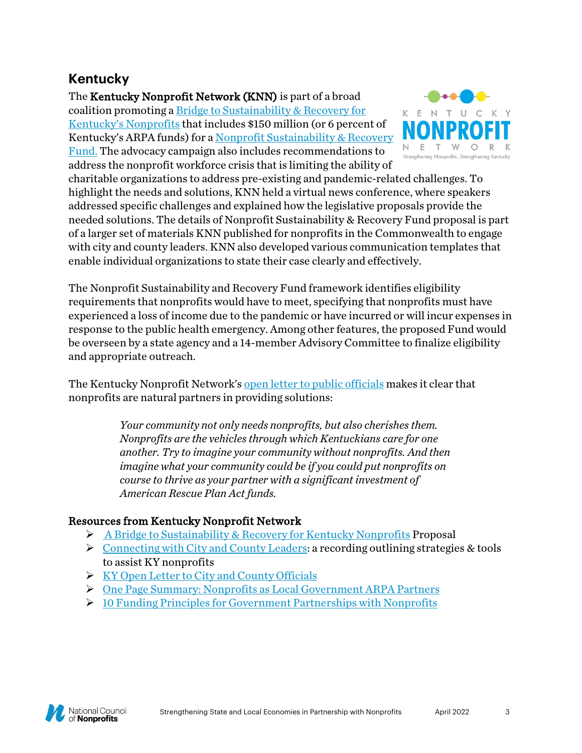# **Kentucky**

The Kentucky Nonprofit Network (KNN) is part of a broad coalition promoting a [Bridge to Sustainability & Recovery](https://www.kynonprofits.org/sites/default/files/Bridge%20to%20Sustainability%20Cover%20final_0.pdf) for [Kentucky's Nonprofits](https://www.kynonprofits.org/sites/default/files/Bridge%20to%20Sustainability%20Cover%20final_0.pdf) that includes \$150 million (or 6 percent of Kentucky's ARPA funds) for [a Nonprofit Sustainability & Recovery](https://www.kynonprofits.org/sites/default/files/nonprofit%20sustainability%20and%20recovery%20fund%20final.pdf)  [Fund.](https://www.kynonprofits.org/sites/default/files/nonprofit%20sustainability%20and%20recovery%20fund%20final.pdf) The advocacy campaign also includes recommendations to address the nonprofit workforce crisis that is limiting the ability of



charitable organizations to address pre-existing and pandemic-related challenges. To highlight the needs and solutions, KNN held a virtual news conference, where speakers addressed specific challenges and explained how the legislative proposals provide the needed solutions. The details of Nonprofit Sustainability & Recovery Fund proposal is part of a larger set of materials KNN published for nonprofits in the Commonwealth to engage with city and county leaders. KNN also developed various communication templates that enable individual organizations to state their case clearly and effectively.

The Nonprofit Sustainability and Recovery Fund framework identifies eligibility requirements that nonprofits would have to meet, specifying that nonprofits must have experienced a loss of income due to the pandemic or have incurred or will incur expenses in response to the public health emergency. Among other features, the proposed Fund would be overseen by a state agency and a 14-member Advisory Committee to finalize eligibility and appropriate outreach.

The Kentucky Nonprofit Network's [open letter to public officials](https://www.kynonprofits.org/sites/default/files/Open%20letter%20to%20local%20final.pdf) makes it clear that nonprofits are natural partners in providing solutions:

> *Your community not only needs nonprofits, but also cherishes them. Nonprofits are the vehicles through which Kentuckians care for one another. Try to imagine your community without nonprofits. And then imagine what your community could be if you could put nonprofits on course to thrive as your partner with a significant investment of American Rescue Plan Act funds.*

### Resources from Kentucky Nonprofit Network

- $\triangleright$  [A Bridge to Sustainability & Recovery for Kentucky Nonprofits](https://www.kynonprofits.org/sites/default/files/nonprofit%20sustainability%20and%20recovery%20fund%20final.pdf) Proposal
- $\triangleright$  [Connecting with City and County Leaders:](https://www.youtube.com/watch?v=ufOpGeFrGMM) a recording outlining strategies & tools to assist KY nonprofits
- $\triangleright$  [KY Open Letter to City and County Officials](https://www.kynonprofits.org/sites/default/files/Open%20letter%20to%20local%20final.pdf)
- [One Page Summary: Nonprofits as Local Government ARPA Partners](https://www.kynonprofits.org/sites/default/files/ARPA%20making%20the%20case.pdf)
- [10 Funding Principles for Government Partnerships with Nonprofits](https://www.kynonprofits.org/sites/default/files/arpa%20funding%20principles_0.pdf)

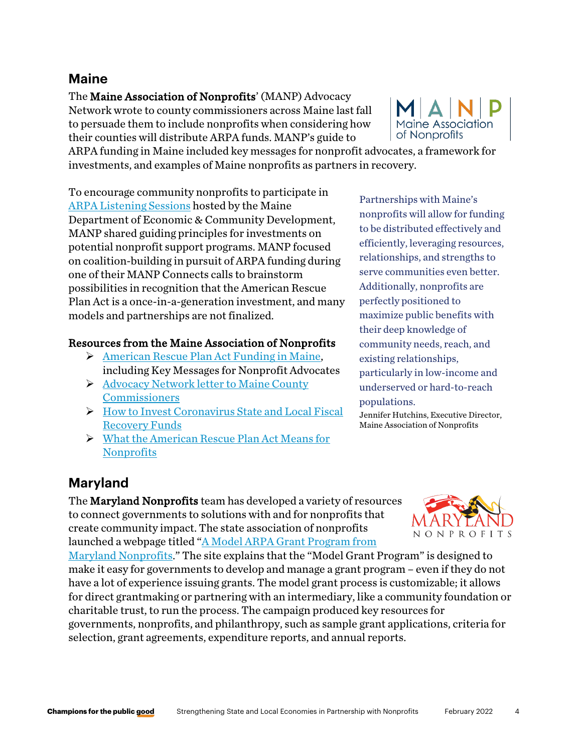# **Maine**

The Maine Association of Nonprofits' (MANP) Advocacy Network wrote to county commissioners across Maine last fall to persuade them to include nonprofits when considering how their counties will distribute ARPA funds. MANP's guide to

**Maine Association** of Nonprofits

ARPA funding in Maine included key messages for nonprofit advocates, a framework for investments, and examples of Maine nonprofits as partners in recovery.

To encourage community nonprofits to participate in [ARPA Listening Sessions](https://www.maine.gov/decd/listening-sessions) hosted by the Maine Department of Economic & Community Development, MANP shared guiding principles for investments on potential nonprofit support programs. MANP focused on coalition-building in pursuit of ARPA funding during one of their MANP Connects calls to brainstorm possibilities in recognition that the American Rescue Plan Act is a once-in-a-generation investment, and many models and partnerships are not finalized.

### Resources from the Maine Association of Nonprofits

- [American Rescue Plan Act Funding in Maine,](https://www.nonprofitmaine.org/learn/resources/covid-19/financial-relief-for-nonprofit-businesses-and-employers/american-rescue-plan-act-funding-in-maine/) including Key Messages for Nonprofit Advocates
- Advocacy Network letter to Maine County **[Commissioners](https://www.nonprofitmaine.org/wp-content/uploads/Letter-to-County-Cmsrs-Sept-15.pdf)**
- $\triangleright$  How to Invest Coronavirus State and Local Fiscal [Recovery Funds](https://www.nonprofitmaine.org/blog/how-to-invest-coronavirus-state-and-local-fiscal-recovery-funds/)
- [What the American Rescue Plan Act Means for](https://www.nonprofitmaine.org/blog/what-the-american-rescue-plan-act-means-for-nonprofits/)  **[Nonprofits](https://www.nonprofitmaine.org/blog/what-the-american-rescue-plan-act-means-for-nonprofits/)**

Partnerships with Maine's nonprofits will allow for funding to be distributed effectively and efficiently, leveraging resources, relationships, and strengths to serve communities even better. Additionally, nonprofits are perfectly positioned to maximize public benefits with their deep knowledge of community needs, reach, and existing relationships, particularly in low-income and underserved or hard-to-reach populations.

Jennifer Hutchins, Executive Director, Maine Association of Nonprofits

# **Maryland**

The Maryland Nonprofits team has developed a variety of resources to connect governments to solutions with and for nonprofits that create community impact. The state association of nonprofits launched a webpage titled ["A Model ARPA Grant Program from](https://www.marylandnonprofits.org/a-model-arpa-grant-program-from-maryland-nonprofits/) 

[Maryland Nonprofits.](https://www.marylandnonprofits.org/a-model-arpa-grant-program-from-maryland-nonprofits/)" The site explains that the "Model Grant Program" is designed to make it easy for governments to develop and manage a grant program – even if they do not have a lot of experience issuing grants. The model grant process is customizable; it allows for direct grantmaking or partnering with an intermediary, like a community foundation or charitable trust, to run the process. The campaign produced key resources for governments, nonprofits, and philanthropy, such as sample grant applications, criteria for selection, grant agreements, expenditure reports, and annual reports.

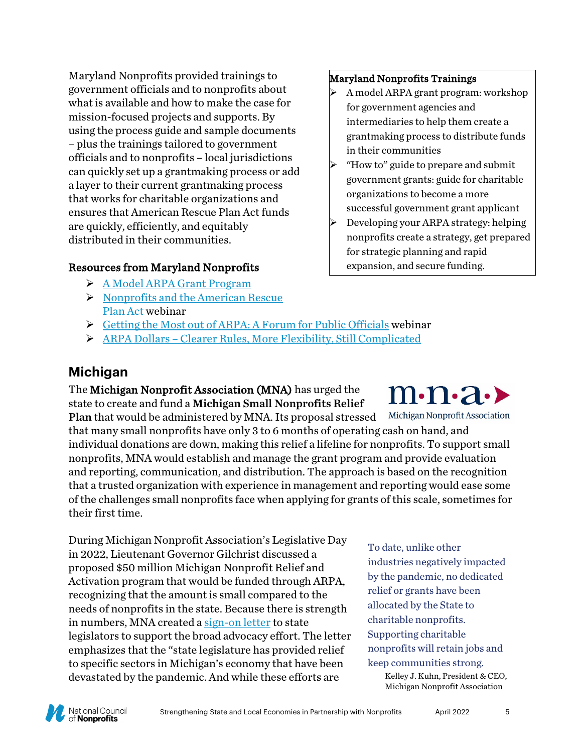Maryland Nonprofits provided trainings to government officials and to nonprofits about what is available and how to make the case for mission-focused projects and supports. By using the process guide and sample documents – plus the trainings tailored to government officials and to nonprofits – local jurisdictions can quickly set up a grantmaking process or add a layer to their current grantmaking process that works for charitable organizations and ensures that American Rescue Plan Act funds are quickly, efficiently, and equitably distributed in their communities.

# Resources from Maryland Nonprofits

- [A Model ARPA Grant Program](https://www.marylandnonprofits.org/a-model-arpa-grant-program-from-maryland-nonprofits/)
- $\triangleright$  Nonprofits and the American Rescue [Plan Act](https://zoom.us/rec/play/c0ZZc_5hvp9jQwlSC2CaEGs5Z8qn8PhbCI_X7hTjjdla7gUmlajDAA3USF9B6WaSY_-Kefme2ZmmUqCM.MnWqtqb8Ht6TLSGH) webinar

### [Getting the Most out of ARPA: A Forum for Public Officials](https://youtu.be/CQDBVqFkJYY) webinar

[ARPA Dollars – Clearer Rules, More Flexibility, Still Complicated](https://www.marylandnonprofits.org/arpa-dollars-clearer-rules-more-flexibility-still-complicated/) 

# **Michigan**

The Michigan Nonprofit Association (MNA) has urged the state to create and fund a Michigan Small Nonprofits Relief

Michigan Nonprofit Association Plan that would be administered by MNA. Its proposal stressed that many small nonprofits have only 3 to 6 months of operating cash on hand, and individual donations are down, making this relief a lifeline for nonprofits. To support small nonprofits, MNA would establish and manage the grant program and provide evaluation and reporting, communication, and distribution. The approach is based on the recognition that a trusted organization with experience in management and reporting would ease some of the challenges small nonprofits face when applying for grants of this scale, sometimes for their first time.

During Michigan Nonprofit Association's Legislative Day in 2022, Lieutenant Governor Gilchrist discussed a proposed \$50 million Michigan Nonprofit Relief and Activation program that would be funded through ARPA, recognizing that the amount is small compared to the needs of nonprofits in the state. Because there is strength in numbers, MNA created a [sign-on letter](https://forms.office.com/pages/responsepage.aspx?id=Eqqu4VASKUmMacsf19hiNL9jDDyQGfpEuCN8xz4MIgJURThIT1FXMkRXU0FBOVFBR0dDMU4zNENZUSQlQCN0PWcu) to state legislators to support the broad advocacy effort. The letter emphasizes that the "state legislature has provided relief to specific sectors in Michigan's economy that have been devastated by the pandemic. And while these efforts are

### Maryland Nonprofits Trainings

- A model ARPA grant program: workshop for government agencies and intermediaries to help them create a grantmaking process to distribute funds in their communities
- "How to" guide to prepare and submit government grants: guide for charitable organizations to become a more successful government grant applicant
- Developing your ARPA strategy: helping nonprofits create a strategy, get prepared for strategic planning and rapid expansion, and secure funding.



relief or grants have been allocated by the State to charitable nonprofits. Supporting charitable nonprofits will retain jobs and keep communities strong.

Kelley J. Kuhn, President & CEO, Michigan Nonprofit Association

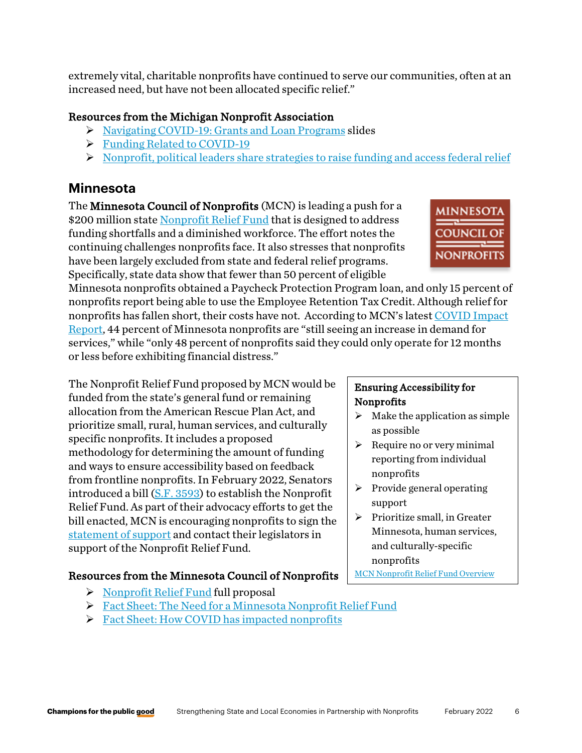extremely vital, charitable nonprofits have continued to serve our communities, often at an increased need, but have not been allocated specific relief."

### Resources from the Michigan Nonprofit Association

- [Navigating COVID-19: Grants and Loan Programs](https://www.mnaonline.org/doc-url/469-navigating-covid-19-grants-and-loan-programs-presentation-4-15-20) slides
- **[Funding Related to COVID-19](https://www.mnaonline.org/doc-url/463-covid-19-funding)**
- [Nonprofit, political leaders share strategies to raise funding and access federal relief](https://www.mnaonline.org/who-we-are/press-coverage/funding-and-federal-relief)

# **Minnesota**

The Minnesota Council of Nonprofits (MCN) is leading a push for a \$200 million state [Nonprofit Relief Fund](https://www.minnesotanonprofits.org/docs/default-source/policy/nonprofit_relief_fund_proposal.pdf) that is designed to address funding shortfalls and a diminished workforce. The effort notes the continuing challenges nonprofits face. It also stresses that nonprofits have been largely excluded from state and federal relief programs. Specifically, state data show that fewer than 50 percent of eligible

Minnesota nonprofits obtained a Paycheck Protection Program loan, and only 15 percent of nonprofits report being able to use the Employee Retention Tax Credit. Although relief for nonprofits has fallen short, their costs have not. According to MCN's lates[t COVID Impact](https://www.minnesotanonprofits.org/docs/default-source/coronavirus/2021-mn-nonprofit-economy-report---december-2021.pdf)  [Report,](https://www.minnesotanonprofits.org/docs/default-source/coronavirus/2021-mn-nonprofit-economy-report---december-2021.pdf) 44 percent of Minnesota nonprofits are "still seeing an increase in demand for services," while "only 48 percent of nonprofits said they could only operate for 12 months or less before exhibiting financial distress."

The Nonprofit Relief Fund proposed by MCN would be funded from the state's general fund or remaining allocation from the American Rescue Plan Act, and prioritize small, rural, human services, and culturally specific nonprofits. It includes a proposed methodology for determining the amount of funding and ways to ensure accessibility based on feedback from frontline nonprofits. In February 2022, Senators introduced a bill [\(S.F. 3593\)](https://www.revisor.mn.gov/bills/bill.php?b=senate&f=SF3593&ssn=0&y=2022) to establish the Nonprofit Relief Fund. As part of their advocacy efforts to get the bill enacted, MCN is encouraging nonprofits to sign the [statement of support](https://forms.office.com/Pages/ResponsePage.aspx?id=sAFEEhMFb06lYlyGZA4tWUfvuUNy-tFNlGpflCDTFMRUNFNNTlFMRjFIVThFVjM0WlFKREhIRDZPUS4u) and contact their legislators in support of the Nonprofit Relief Fund.

# Resources from the Minnesota Council of Nonprofits

- $\triangleright$  [Nonprofit Relief Fund](https://www.minnesotanonprofits.org/docs/default-source/policy/nonprofit_relief_fund_proposal.pdf) full proposal
- [Fact Sheet: The Need for a Minnesota Nonprofit Relief Fund](https://www.minnesotanonprofits.org/docs/default-source/policy/factsheet_theneed_nonprofit_relief_fund.pdf)
- $\triangleright$  [Fact Sheet: How COVID has impacted nonprofits](https://www.minnesotanonprofits.org/docs/default-source/policy/factsheet_covidimpact_nonprofit_relief_fund.pdf)

#### Ensuring Accessibility for Nonprofits

- $\triangleright$  Make the application as simple as possible
- $\triangleright$  Require no or very minimal reporting from individual nonprofits
- $\triangleright$  Provide general operating support
- $\triangleright$  Prioritize small, in Greater Minnesota, human services, and culturally-specific nonprofits

[MCN Nonprofit Relief Fund Overview](https://www.minnesotanonprofits.org/about-mcn/news-detail/2022/01/26/calling-for-a-$200m-nonprofit-relief-fund)

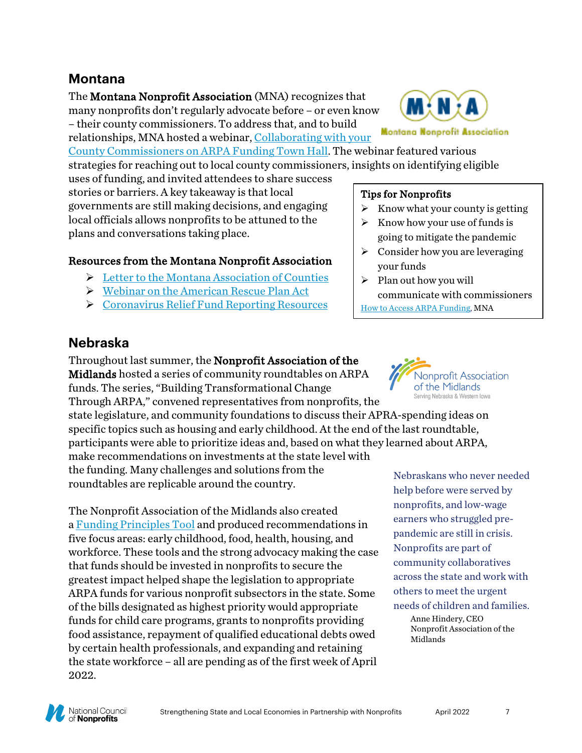# **Montana**

The Montana Nonprofit Association (MNA) recognizes that many nonprofits don't regularly advocate before – or even know – their county commissioners. To address that, and to build relationships, MNA hosted a webinar, [Collaborating with your](https://www.youtube.com/watch?v=F8-Z46ZnITc) 

[County Commissioners on ARPA Funding Town Hall.](https://www.youtube.com/watch?v=F8-Z46ZnITc) The webinar featured various strategies for reaching out to local county commissioners, insights on identifying eligible

uses of funding, and invited attendees to share success stories or barriers. A key takeaway is that local governments are still making decisions, and engaging local officials allows nonprofits to be attuned to the plans and conversations taking place.

### Resources from the Montana Nonprofit Association

- Executive Montana Association of Counties
- [Webinar on the American Rescue Plan Act](https://us02web.zoom.us/meeting/register/tZAtdO-srDIoGNYz2N-uH8WYhCdagRDZMbBu)
- [Coronavirus Relief Fund Reporting Resources](https://mtnonprofit.org/resource-center/crf_reportingresources/)

#### Tips for Nonprofits

- $\triangleright$  Know what your county is getting
- $\triangleright$  Know how your use of funds is going to mitigate the pandemic
- $\triangleright$  Consider how you are leveraging your funds
- $\triangleright$  Plan out how you will communicate with commissioners

[How to Access ARPA Funding,](https://mailchi.mp/mtnonprofit/eventprotocols-5124857?e=5e66af00bb) MNA

### **Nebraska**

Throughout last summer, the Nonprofit Association of the Midlands hosted a series of community roundtables on ARPA funds. The series, "Building Transformational Change Through ARPA," convened representatives from nonprofits, the

state legislature, and community foundations to discuss their APRA-spending ideas on specific topics such as housing and early childhood. At the end of the last roundtable, participants were able to prioritize ideas and, based on what they learned about ARPA, make recommendations on investments at the state level with the funding. Many challenges and solutions from the roundtables are replicable around the country.

The Nonprofit Association of the Midlands also created a [Funding Principles Tool](https://files.constantcontact.com/40eb4e87001/2ea4039c-6965-40db-b410-b77fe5ecd79f.pdf) and produced recommendations in five focus areas: early childhood, food, health, housing, and workforce. These tools and the strong advocacy making the case that funds should be invested in nonprofits to secure the greatest impact helped shape the legislation to appropriate ARPA funds for various nonprofit subsectors in the state. Some of the bills designated as highest priority would appropriate funds for child care programs, grants to nonprofits providing food assistance, repayment of qualified educational debts owed by certain health professionals, and expanding and retaining the state workforce – all are pending as of the first week of April 2022.



Nebraskans who never needed help before were served by nonprofits, and low-wage earners who struggled prepandemic are still in crisis. Nonprofits are part of community collaboratives across the state and work with others to meet the urgent needs of children and families.

Anne Hindery, CEO Nonprofit Association of the Midlands



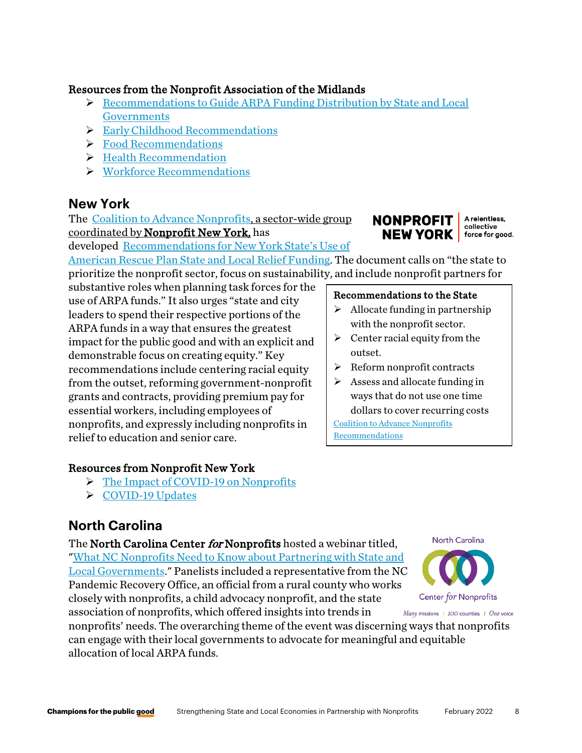### Resources from the Nonprofit Association of the Midlands

- $\triangleright$  Recommendations to Guide ARPA Funding Distribution by State and Local **Governments**
- $\triangleright$  Early Childhood Recommendations
- **Food Recommendations**
- **► Health Recommendation**
- [Workforce Recommendations](https://www.nonprofitam.org/resource/resmgr/workforce_recommendations.pdf)

# **New York**

The [Coalition to Advance Nonprofits,](https://www.nonprofitnewyork.org/act/coalitions-and-councils/) a sector-wide group coordinated by Nonprofit New York, has

developed [Recommendations for New York State's Use of](https://p2a.co/ivjk7y1) 

[American Rescue Plan State and Local Relief Funding.](https://p2a.co/ivjk7y1) The document calls on "the state to prioritize the nonprofit sector, focus on sustainability, and include nonprofit partners for

substantive roles when planning task forces for the use of ARPA funds." It also urges "state and city leaders to spend their respective portions of the ARPA funds in a way that ensures the greatest impact for the public good and with an explicit and demonstrable focus on creating equity." Key recommendations include centering racial equity from the outset, reforming government-nonprofit grants and contracts, providing premium pay for essential workers, including employees of nonprofits, and expressly including nonprofits in relief to education and senior care.

#### Recommendations to the State  $\triangleright$  Allocate funding in partnership

- with the nonprofit sector.
- $\triangleright$  Center racial equity from the outset.
- $\triangleright$  Reform nonprofit contracts

 $\triangleright$  Assess and allocate funding in ways that do not use one time dollars to cover recurring costs [Coalition to Advance Nonprofits](https://p2a.co/ivjk7y1) 

**[Recommendations](https://p2a.co/ivjk7y1)** 

#### Resources from Nonprofit New York

- [The Impact of COVID-19 on Nonprofits](https://www.nonprofitnewyork.org/2020/11/impact-of-covid-on-nonprofits/)
- $\triangleright$  [COVID-19 Updates](https://www.nonprofitnewyork.org/covid-19-updates/)

# **North Carolina**

The North Carolina Center for Nonprofits hosted a webinar titled, ["What NC Nonprofits Need to Know about Partnering with State and](https://www.youtube.com/watch?v=uUoXFZ7G8o0)  [Local Governments.](https://www.youtube.com/watch?v=uUoXFZ7G8o0)" Panelists included a representative from the NC Pandemic Recovery Office, an official from a rural county who works closely with nonprofits, a child advocacy nonprofit, and the state association of nonprofits, which offered insights into trends in

North Carolina Center for Nonprofits

Many missions | 100 counties | One voice

nonprofits' needs. The overarching theme of the event was discerning ways that nonprofits can engage with their local governments to advocate for meaningful and equitable allocation of local ARPA funds.



collective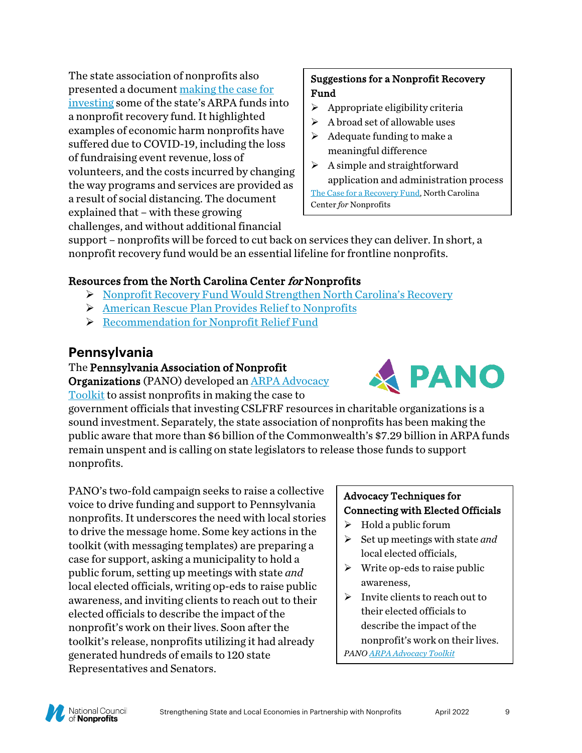The state association of nonprofits also presented a documen[t making the case for](https://www.ncnonprofits.org/sites/default/files/public_policy_file_attachments/Nonprofit%20recovery%20fund%20NC%20-%202021.pdf)  [investing](https://www.ncnonprofits.org/sites/default/files/public_policy_file_attachments/Nonprofit%20recovery%20fund%20NC%20-%202021.pdf) some of the state's ARPA funds into a nonprofit recovery fund. It highlighted examples of economic harm nonprofits have suffered due to COVID-19, including the loss of fundraising event revenue, loss of volunteers, and the costs incurred by changing the way programs and services are provided as a result of social distancing. The document explained that – with these growing challenges, and without additional financial

### Suggestions for a Nonprofit Recovery Fund

- $\triangleright$  Appropriate eligibility criteria
- $\triangleright$  A broad set of allowable uses
- $\triangleright$  Adequate funding to make a meaningful difference
- $\triangleright$  A simple and straightforward application and administration process

[The Case for a Recovery Fund,](https://www.ncnonprofits.org/sites/default/files/public_policy_file_attachments/Nonprofit%20recovery%20fund%20NC%20-%202021.pdf) North Carolina Center *for* Nonprofits

support – nonprofits will be forced to cut back on services they can deliver. In short, a nonprofit recovery fund would be an essential lifeline for frontline nonprofits.

# Resources from the North Carolina Center for Nonprofits

- [Nonprofit Recovery Fund Would Strengthen North Carolina's Recovery](https://www.ncnonprofits.org/sites/default/files/public_policy_file_attachments/Nonprofit%20recovery%20fund%20NC%20-%202021.pdf)
- [American Rescue Plan Provides Relief to Nonprofits](https://www.ncnonprofits.org/blog/american-rescue-plan-provides-relief-nonprofits)
- P [Recommendation for Nonprofit Relief Fund](https://www.ncnonprofits.org/sites/default/files/public_policy_file_attachments/Nonprofit%20Relief%20Fund%20recommendation.pdf)

# **Pennsylvania**

### The Pennsylvania Association of Nonprofit

Organizations (PANO) developed an [ARPA Advocacy](https://view.officeapps.live.com/op/view.aspx?src=https%3A%2F%2Fpano.org%2Fwp-content%2Fuploads%2F2022%2F02%2F2022-ARPA-Dollar-Overview-and-Outreach-Toolkit.docx&wdOrigin=BROWSELINK&eType=EmailBlastContent&eId=341b44b3-bb91-4bb0-a988-ea0985ef3d31)  [Toolkit](https://view.officeapps.live.com/op/view.aspx?src=https%3A%2F%2Fpano.org%2Fwp-content%2Fuploads%2F2022%2F02%2F2022-ARPA-Dollar-Overview-and-Outreach-Toolkit.docx&wdOrigin=BROWSELINK&eType=EmailBlastContent&eId=341b44b3-bb91-4bb0-a988-ea0985ef3d31) to assist nonprofits in making the case to

government officials that investing CSLFRF resources in charitable organizations is a sound investment. Separately, the state association of nonprofits has been making the public aware that more than \$6 billion of the Commonwealth's \$7.29 billion in ARPA funds remain unspent and is calling on state legislators to release those funds to support nonprofits.

PANO's two-fold campaign seeks to raise a collective voice to drive funding and support to Pennsylvania nonprofits. It underscores the need with local stories to drive the message home. Some key actions in the toolkit (with messaging templates) are preparing a case for support, asking a municipality to hold a public forum, setting up meetings with state *and*  local elected officials, writing op-eds to raise public awareness, and inviting clients to reach out to their elected officials to describe the impact of the nonprofit's work on their lives. Soon after the toolkit's release, nonprofits utilizing it had already generated hundreds of emails to 120 state Representatives and Senators.

# Advocacy Techniques for Connecting with Elected Officials

- $\triangleright$  Hold a public forum
- $\triangleright$  Set up meetings with state *and* local elected officials,
- $\triangleright$  Write op-eds to raise public awareness,
- $\triangleright$  Invite clients to reach out to their elected officials to describe the impact of the nonprofit's work on their lives. *PAN[O ARPA Advocacy Toolkit](https://view.officeapps.live.com/op/view.aspx?src=https%3A%2F%2Fpano.org%2Fwp-content%2Fuploads%2F2022%2F02%2F2022-ARPA-Dollar-Overview-and-Outreach-Toolkit.docx&wdOrigin=BROWSELINK&eType=EmailBlastContent&eId=341b44b3-bb91-4bb0-a988-ea0985ef3d31)*



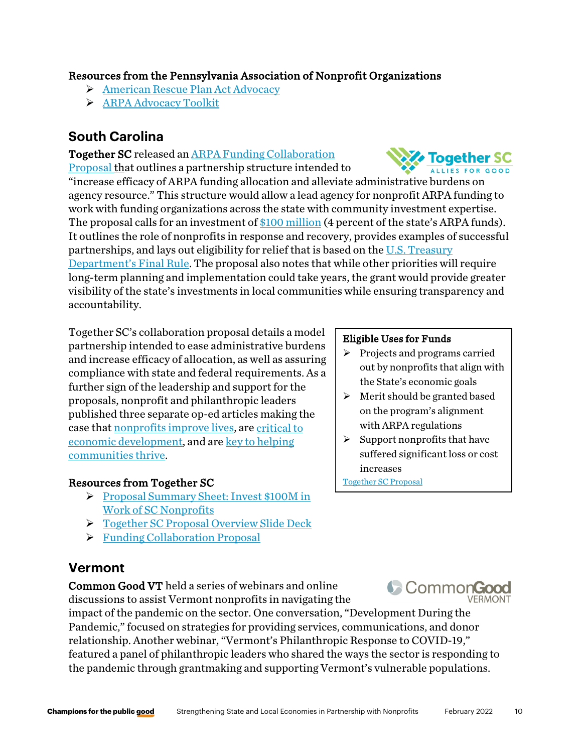### Resources from the Pennsylvania Association of Nonprofit Organizations

- [American Rescue Plan Act Advocacy](https://pano.org/advocacy/american-rescue-plan-act-advocacy/)
- [ARPA Advocacy Toolkit](https://pano.org/wp-content/uploads/2022/02/2022-ARPA-Dollar-Overview-and-Outreach-Toolkit.docx)

# **South Carolina**

#### Together SC released a[n ARPA Funding Collaboration](https://drive.google.com/file/d/1Is9KuCkHXb0jP65TuHuvJlZqcqEnomxZ/view)

[Proposal](https://drive.google.com/file/d/1Is9KuCkHXb0jP65TuHuvJlZqcqEnomxZ/view) that outlines a partnership structure intended to

"increase efficacy of ARPA funding allocation and alleviate administrative burdens on agency resource." This structure would allow a lead agency for nonprofit ARPA funding to work with funding organizations across the state with community investment expertise. The proposal calls for an investment of [\\$100 million](https://assets.noviams.com/novi-file-uploads/tsc/pdfs-and-documents/Invest_100M_in_SC_nps__1_.pdf) (4 percent of the state's ARPA funds). It outlines the role of nonprofits in response and recovery, provides examples of successful partnerships, and lays out eligibility for relief that is based on th[e U.S. Treasury](https://www.govinfo.gov/content/pkg/FR-2022-01-27/pdf/2022-00292.pdf)  [Department's Final Rule.](https://www.govinfo.gov/content/pkg/FR-2022-01-27/pdf/2022-00292.pdf) The proposal also notes that while other priorities will require long-term planning and implementation could take years, the grant would provide greater visibility of the state's investments in local communities while ensuring transparency and accountability.

Together SC's collaboration proposal details a model partnership intended to ease administrative burdens and increase efficacy of allocation, as well as assuring compliance with state and federal requirements. As a further sign of the leadership and support for the proposals, nonprofit and philanthropic leaders published three separate op-ed articles making the case that [nonprofits improve lives,](https://www.postandcourier.com/opinion/commentary/commentary-how-sc-lawmakers-can-help-nonprofits-efforts-to-improve-lives/article_32f3d5ee-8dda-11ec-82e5-63b5456dc3ec.html) are [critical to](https://www.postandcourier.com/opinion/commentary/commentary-theres-a-piece-missing-from-scs-economic-development-equation/article_1e5bfa22-7f88-11ec-9bfa-7b045496bc84.html)  [economic development,](https://www.postandcourier.com/opinion/commentary/commentary-theres-a-piece-missing-from-scs-economic-development-equation/article_1e5bfa22-7f88-11ec-9bfa-7b045496bc84.html) and are key to helping [communities thrive.](https://www.pmg-sc.com/the_lancaster_news/content/hart-shannon-and-sherrill-column-strong-nonprofit-sector-key-helping-community-thrive/)

#### Resources from Together SC

- Proposal Summary Sheet: Invest \$100M in [Work of SC Nonprofits](https://assets.noviams.com/novi-file-uploads/tsc/pdfs-and-documents/Invest_100M_in_SC_nps__1_.pdf)
- [Together SC Proposal Overview Slide Deck](https://docs.google.com/presentation/d/1d3kgDFsjJe9DGuERFU5MYwmtJ1i-Pb-T/edit#slide=id.p1)
- > [Funding Collaboration Proposal](https://drive.google.com/file/d/1Is9KuCkHXb0jP65TuHuvJlZqcqEnomxZ/view)

# **Vermont**

Common Good VT held a series of webinars and online discussions to assist Vermont nonprofits in navigating the

impact of the pandemic on the sector. One conversation, "Development During the Pandemic," focused on strategies for providing services, communications, and donor relationship. Another webinar, "Vermont's Philanthropic Response to COVID-19," featured a panel of philanthropic leaders who shared the ways the sector is responding to the pandemic through grantmaking and supporting Vermont's vulnerable populations.

#### Eligible Uses for Funds

- $\triangleright$  Projects and programs carried out by nonprofits that align with the State's economic goals
- $\triangleright$  Merit should be granted based on the program's alignment with ARPA regulations
- $\triangleright$  Support nonprofits that have suffered significant loss or cost increases

[Together SC Proposal](https://assets.noviams.com/novi-file-uploads/tsc/pdfs-and-documents/Invest_100M_in_SC_nps__1_.pdf)





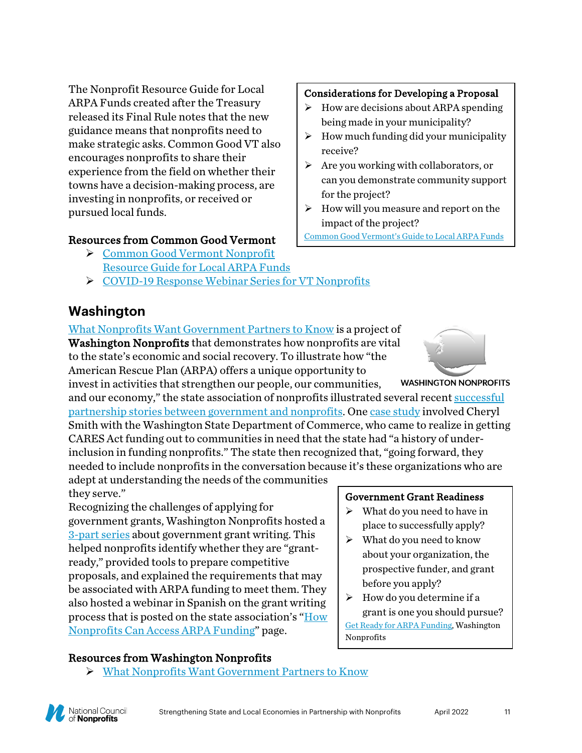The Nonprofit Resource Guide for Local ARPA Funds created after the Treasury released its Final Rule notes that the new guidance means that nonprofits need to make strategic asks. Common Good VT also encourages nonprofits to share their experience from the field on whether their towns have a decision-making process, are investing in nonprofits, or received or pursued local funds.

#### Resources from Common Good Vermont

- [Common Good Vermont Nonprofit](https://commongoodvt.org/advocacy/nonprofit-resource-guide-for-local-arpa-funds/?utm_source=Common+Good+Vermont%3A+Newsletters&utm_campaign=8b681c13dc-Vermont+Nonprofit+News%3A+Funding+%26+Leadership_COPY_&utm_medium=email&utm_term=0_f9acdedf2d-8b681c13dc-159840434&mc_cid=8b681c13dc&mc_eid=48f7afcb6e)  [Resource Guide for Local ARPA Funds](https://commongoodvt.org/advocacy/nonprofit-resource-guide-for-local-arpa-funds/?utm_source=Common+Good+Vermont%3A+Newsletters&utm_campaign=8b681c13dc-Vermont+Nonprofit+News%3A+Funding+%26+Leadership_COPY_&utm_medium=email&utm_term=0_f9acdedf2d-8b681c13dc-159840434&mc_cid=8b681c13dc&mc_eid=48f7afcb6e)
- [COVID-19 Response Webinar Series for VT Nonprofits](https://commongoodvt.org/videos/watch-covid-19-response-webinar-series-for-vt-nonprofits/)

# **Washington**

[What Nonprofits Want Government Partners to Know](https://washingtonnonprofits.org/wp-content/uploads/2021/08/ARPA-Topline-Messages.pdf) is a project of Washington Nonprofits that demonstrates how nonprofits are vital to the state's economic and social recovery. To illustrate how "the American Rescue Plan (ARPA) offers a unique opportunity to

invest in activities that strengthen our people, our communities, and our economy," the state association of nonprofits illustrated several recent [successful](https://washingtonnonprofits.org/partnership-stories/)  [partnership stories between government and nonprofits.](https://washingtonnonprofits.org/partnership-stories/) One [case study](https://washingtonnonprofits.org/washington-state-department-of-commerce-commerce-unfamiliar-territory-leads-to-a-model-for-successful-government-nonprofit-partnership/) involved Cheryl Smith with the Washington State Department of Commerce, who came to realize in getting CARES Act funding out to communities in need that the state had "a history of underinclusion in funding nonprofits." The state then recognized that, "going forward, they needed to include nonprofits in the conversation because it's these organizations who are

adept at understanding the needs of the communities they serve."

Recognizing the challenges of applying for government grants, Washington Nonprofits hosted a [3-part](http://washingtonnonprofits.secure.nonprofitsoapbox.com/arpa-pep-2021) series about government grant writing. This helped nonprofits identify whether they are "grantready," provided tools to prepare competitive proposals, and explained the requirements that may be associated with ARPA funding to meet them. They also hosted a webinar in Spanish on the grant writing process that is posted on the state association's ["How](https://washingtonnonprofits.org/arpa-for-nonprofits/)  [Nonprofits Can Access ARPA Funding"](https://washingtonnonprofits.org/arpa-for-nonprofits/) page.

Resources from Washington Nonprofits

[What Nonprofits Want Government Partners to Know](https://washingtonnonprofits.org/wp-content/uploads/2021/08/ARPA-Topline-Messages.pdf) 

#### Considerations for Developing a Proposal

- $\triangleright$  How are decisions about ARPA spending being made in your municipality?
- $\triangleright$  How much funding did your municipality receive?
- $\triangleright$  Are you working with collaborators, or can you demonstrate community support for the project?
- $\triangleright$  How will you measure and report on the impact of the project?

[Common Good Vermont's Guide to Local ARPA Funds](https://commongoodvt.org/advocacy/nonprofit-resource-guide-for-local-arpa-funds/?utm_source=Common+Good+Vermont%3A+Newsletters&utm_campaign=8b681c13dc-Vermont+Nonprofit+News%3A+Funding+%26+Leadership_COPY_&utm_medium=email&utm_term=0_f9acdedf2d-8b681c13dc-159840434&mc_cid=8b681c13dc&mc_eid=48f7afcb6e#access-arpa)



**WASHINGTON NONPROFITS** 

Government Grant Readiness

- $\triangleright$  What do you need to have in place to successfully apply?
- $\triangleright$  What do you need to know about your organization, the prospective funder, and grant before you apply?
- $\triangleright$  How do you determine if a grant is one you should pursue? [Get Ready for ARPA Funding,](http://washingtonnonprofits.secure.nonprofitsoapbox.com/arpa-2021-09-21) Washington Nonprofits